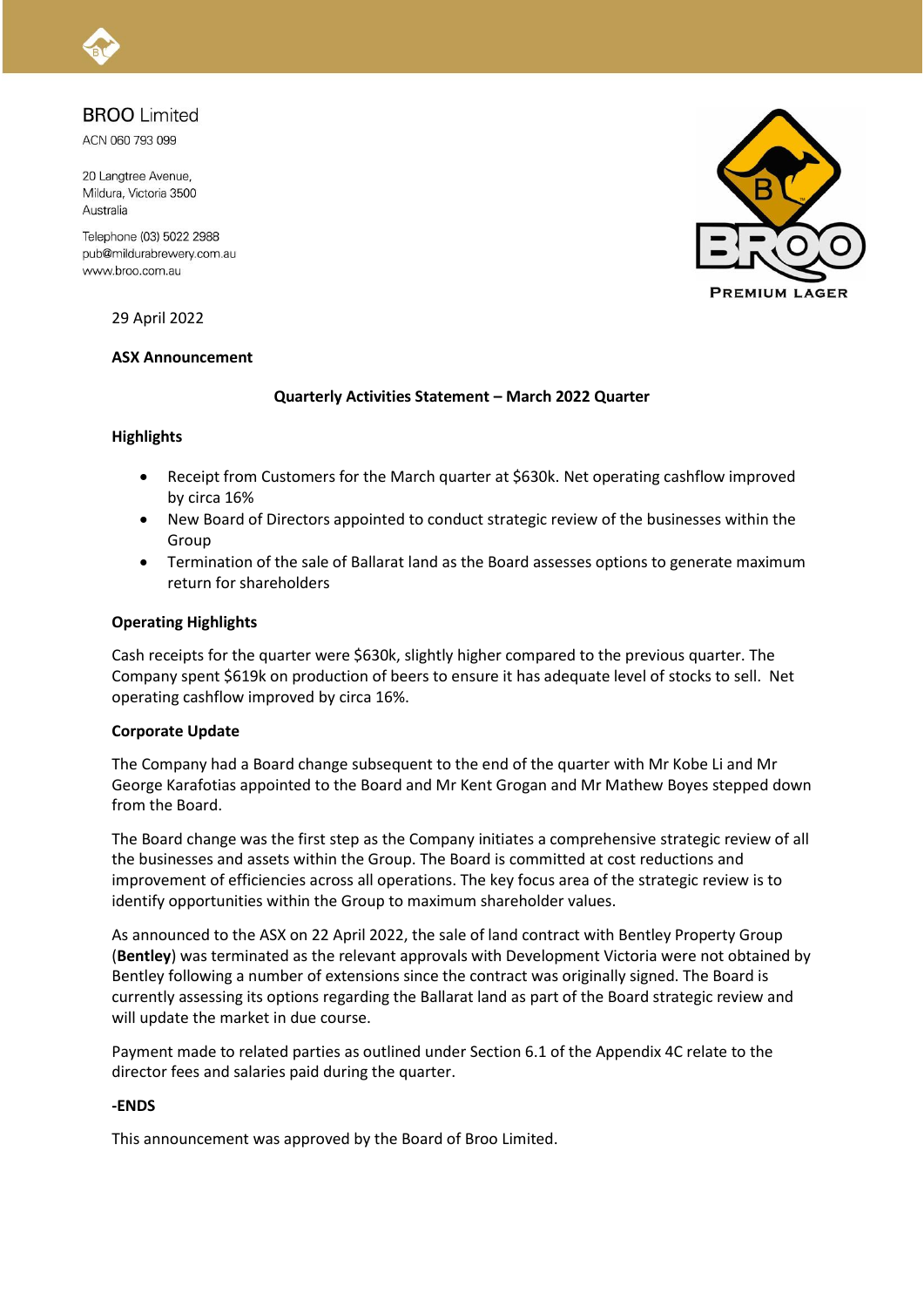### **BROO** Limited

ACN 060 793 099

20 Langtree Avenue, Mildura, Victoria 3500 Australia

Telephone (03) 5022 2988 pub@mildurabrewery.com.au www.broo.com.au



29 April 2022

#### **ASX Announcement**

#### **Quarterly Activities Statement – March 2022 Quarter**

#### **Highlights**

- Receipt from Customers for the March quarter at \$630k. Net operating cashflow improved by circa 16%
- New Board of Directors appointed to conduct strategic review of the businesses within the Group
- Termination of the sale of Ballarat land as the Board assesses options to generate maximum return for shareholders

#### **Operating Highlights**

Cash receipts for the quarter were \$630k, slightly higher compared to the previous quarter. The Company spent \$619k on production of beers to ensure it has adequate level of stocks to sell. Net operating cashflow improved by circa 16%.

#### **Corporate Update**

The Company had a Board change subsequent to the end of the quarter with Mr Kobe Li and Mr George Karafotias appointed to the Board and Mr Kent Grogan and Mr Mathew Boyes stepped down from the Board.

The Board change was the first step as the Company initiates a comprehensive strategic review of all the businesses and assets within the Group. The Board is committed at cost reductions and improvement of efficiencies across all operations. The key focus area of the strategic review is to identify opportunities within the Group to maximum shareholder values.

As announced to the ASX on 22 April 2022, the sale of land contract with Bentley Property Group (**Bentley**) was terminated as the relevant approvals with Development Victoria were not obtained by Bentley following a number of extensions since the contract was originally signed. The Board is currently assessing its options regarding the Ballarat land as part of the Board strategic review and will update the market in due course.

Payment made to related parties as outlined under Section 6.1 of the Appendix 4C relate to the director fees and salaries paid during the quarter.

#### **-ENDS**

This announcement was approved by the Board of Broo Limited.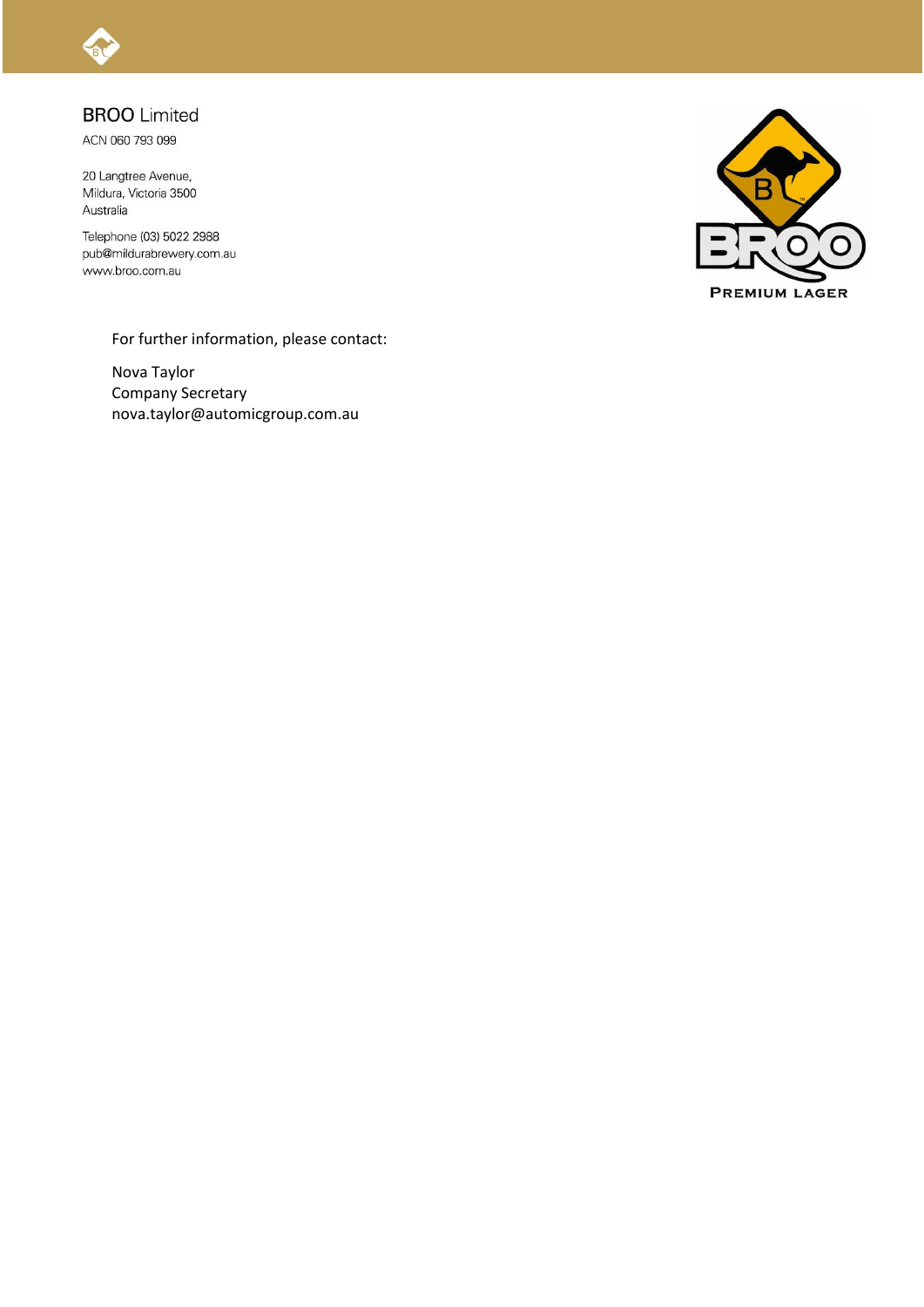

## **BROO** Limited

ACN 060 793 099

20 Langtree Avenue, Mildura, Victoria 3500 Australia

Telephone (03) 5022 2988 pub@mildurabrewery.com.au www.broo.com.au



For further information, please contact:

Nova Taylor Company Secretary nova.taylor@automicgroup.com.au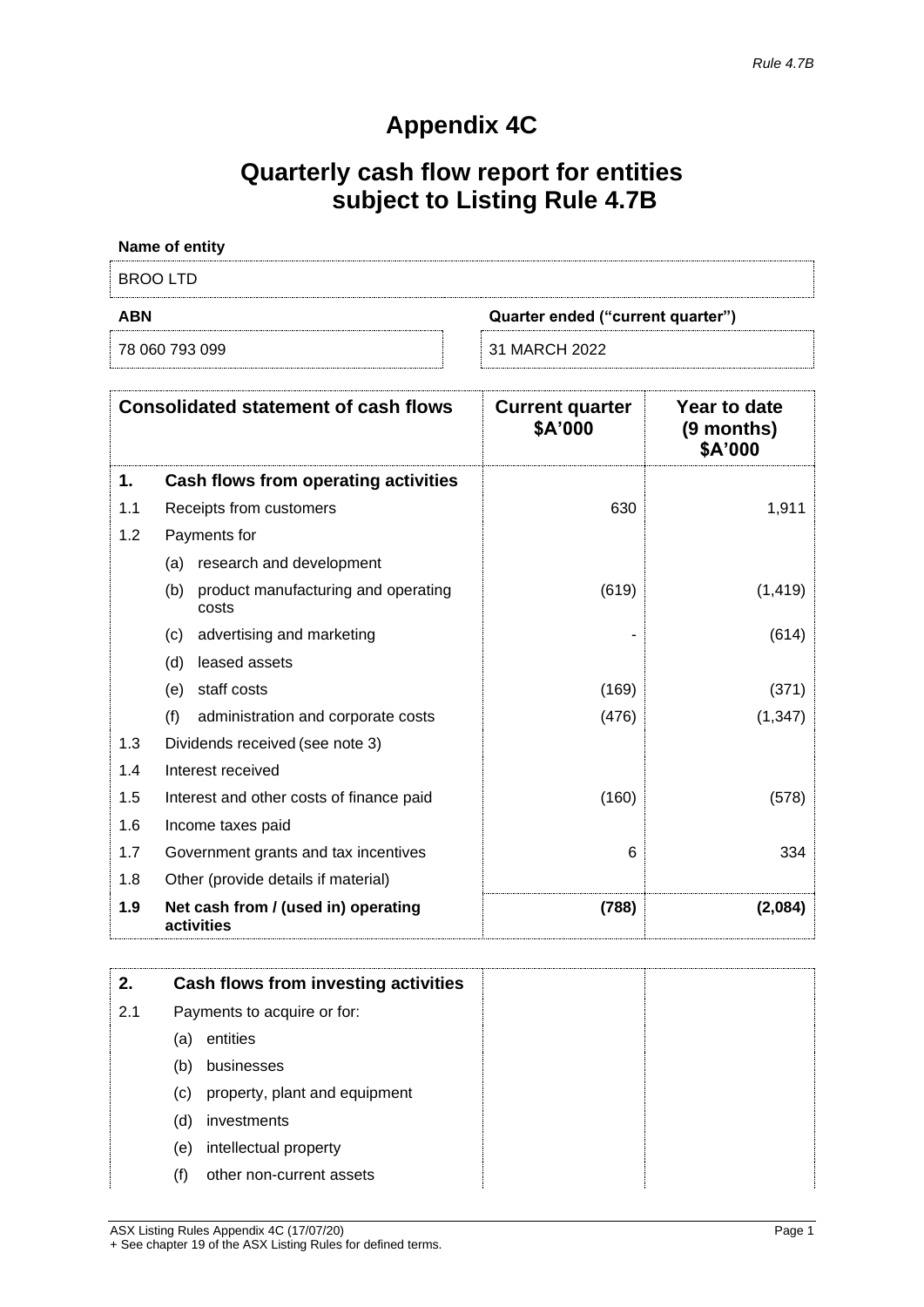# **Appendix 4C**

# **Quarterly cash flow report for entities subject to Listing Rule 4.7B**

| Name of entity                    |  |  |  |
|-----------------------------------|--|--|--|
| BROO LTD                          |  |  |  |
| Quarter ended ("current quarter") |  |  |  |
| <b>ABN</b>                        |  |  |  |

|     | <b>Consolidated statement of cash flows</b>         | <b>Current quarter</b><br>\$A'000 | <b>Year to date</b><br>$(9$ months)<br>\$A'000 |
|-----|-----------------------------------------------------|-----------------------------------|------------------------------------------------|
| 1.  | Cash flows from operating activities                |                                   |                                                |
| 1.1 | Receipts from customers                             | 630                               | 1,911                                          |
| 1.2 | Payments for                                        |                                   |                                                |
|     | (a) research and development                        |                                   |                                                |
|     | product manufacturing and operating<br>(b)<br>costs | (619)                             | (1, 419)                                       |
|     | advertising and marketing<br>(c)                    |                                   | (614)                                          |
|     | leased assets<br>(d)                                |                                   |                                                |
|     | staff costs<br>(e)                                  | (169)                             | (371)                                          |
|     | (f)<br>administration and corporate costs           | (476)                             | (1, 347)                                       |
| 1.3 | Dividends received (see note 3)                     |                                   |                                                |
| 1.4 | Interest received                                   |                                   |                                                |
| 1.5 | Interest and other costs of finance paid            | (160)                             | (578)                                          |
| 1.6 | Income taxes paid                                   |                                   |                                                |
| 1.7 | Government grants and tax incentives                | 6                                 | 334                                            |
| 1.8 | Other (provide details if material)                 |                                   |                                                |
| 1.9 | Net cash from / (used in) operating<br>activities   | (788)                             | (2,084)                                        |

| 2.  |                            | Cash flows from investing activities |
|-----|----------------------------|--------------------------------------|
| 2.1 |                            | Payments to acquire or for:          |
|     | (a)                        | entities                             |
|     | (b)                        | businesses                           |
|     | $\left( \mathrm{c}\right)$ | property, plant and equipment        |
|     | (d)                        | investments                          |
|     | (e)                        | intellectual property                |
|     | (f)                        | other non-current assets             |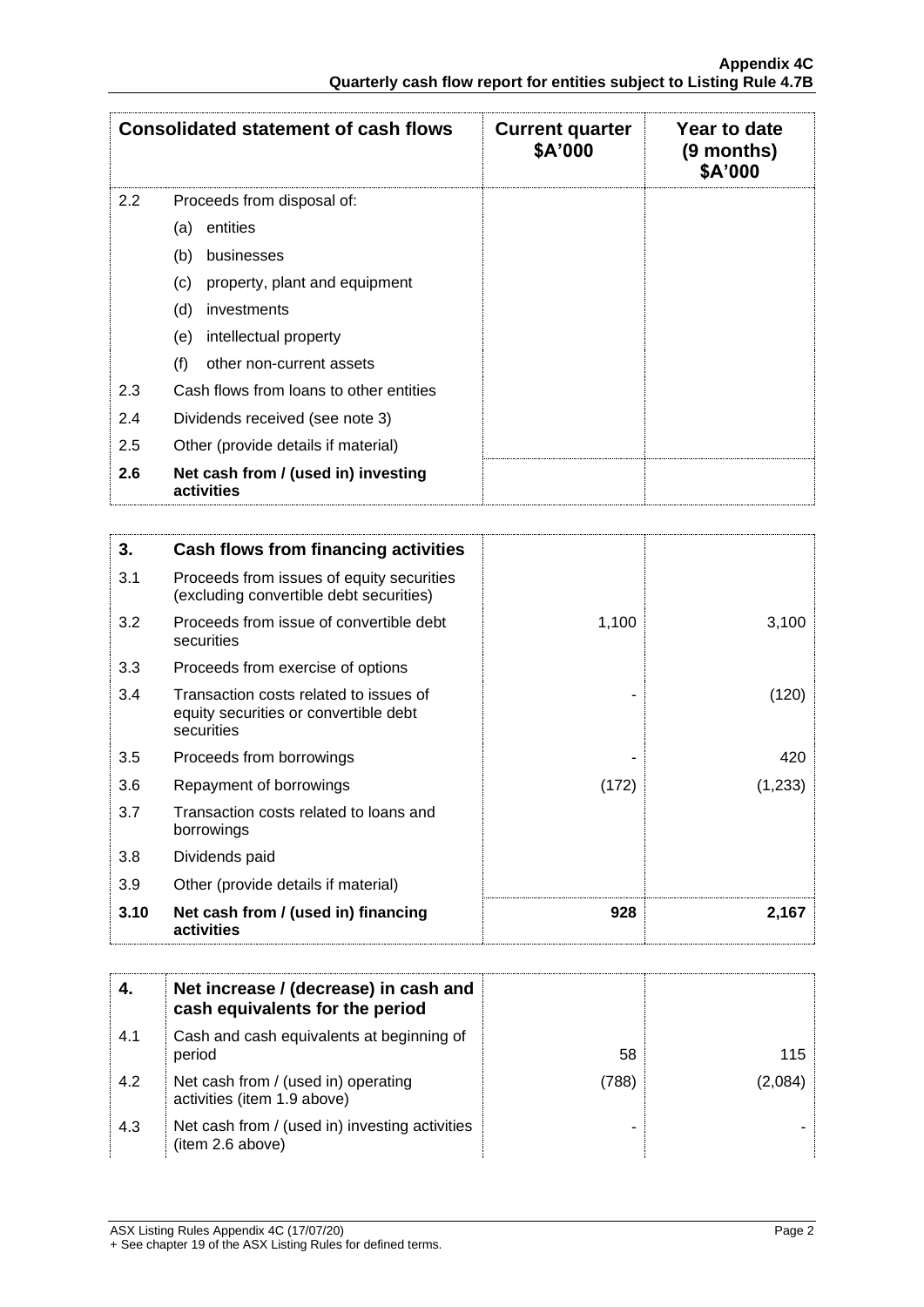|               | <b>Consolidated statement of cash flows</b>       | <b>Current quarter</b><br>\$A'000 | Year to date<br>$(9$ months)<br>\$A'000 |
|---------------|---------------------------------------------------|-----------------------------------|-----------------------------------------|
| $2.2^{\circ}$ | Proceeds from disposal of:                        |                                   |                                         |
|               | entities<br>(a)                                   |                                   |                                         |
|               | (b)<br>businesses                                 |                                   |                                         |
|               | (c)<br>property, plant and equipment              |                                   |                                         |
|               | (d)<br>investments                                |                                   |                                         |
|               | intellectual property<br>(e)                      |                                   |                                         |
|               | (f)<br>other non-current assets                   |                                   |                                         |
| 2.3           | Cash flows from loans to other entities           |                                   |                                         |
| 2.4           | Dividends received (see note 3)                   |                                   |                                         |
| 2.5           | Other (provide details if material)               |                                   |                                         |
| 2.6           | Net cash from / (used in) investing<br>activities |                                   |                                         |

| 3.   | Cash flows from financing activities                                                          |       |         |
|------|-----------------------------------------------------------------------------------------------|-------|---------|
| 3.1  | Proceeds from issues of equity securities<br>(excluding convertible debt securities)          |       |         |
| 3.2  | Proceeds from issue of convertible debt<br>securities                                         | 1,100 | 3,100   |
| 3.3  | Proceeds from exercise of options                                                             |       |         |
| 3.4  | Transaction costs related to issues of<br>equity securities or convertible debt<br>securities |       | (120)   |
| 3.5  | Proceeds from borrowings                                                                      |       | 420     |
| 3.6  | Repayment of borrowings                                                                       | (172) | (1,233) |
| 3.7  | Transaction costs related to loans and<br>borrowings                                          |       |         |
| 3.8  | Dividends paid                                                                                |       |         |
| 3.9  | Other (provide details if material)                                                           |       |         |
| 3.10 | Net cash from / (used in) financing<br>activities                                             | 928   | 2,167   |

|     | Net increase / (decrease) in cash and<br>cash equivalents for the period |       |         |
|-----|--------------------------------------------------------------------------|-------|---------|
| 4.1 | Cash and cash equivalents at beginning of<br>period                      | 58    | 115     |
| 4.2 | Net cash from / (used in) operating<br>activities (item 1.9 above)       | (788) | (2.084) |
| 4.3 | Net cash from / (used in) investing activities<br>(item 2.6 above)       |       |         |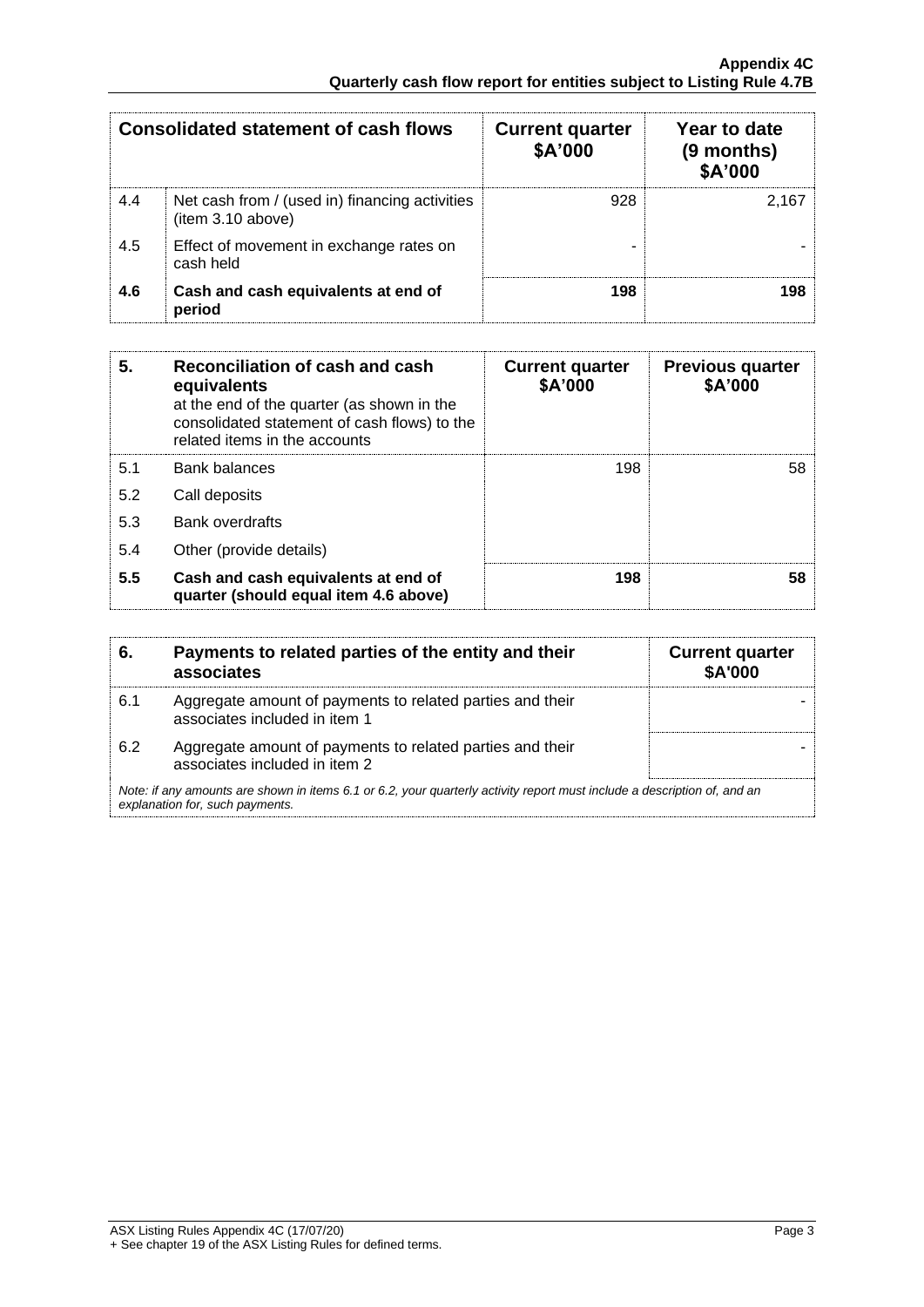| <b>Consolidated statement of cash flows</b> |                                                                    | <b>Current quarter</b><br>\$A'000 | Year to date<br>$(9$ months)<br>\$A'000 |
|---------------------------------------------|--------------------------------------------------------------------|-----------------------------------|-----------------------------------------|
| 4.4                                         | Net cash from / (used in) financing activities<br>item 3.10 above) | 928                               | 2.167                                   |
| 4.5                                         | Effect of movement in exchange rates on<br>cash held               |                                   |                                         |
| 4.6                                         | Cash and cash equivalents at end of<br>period                      | 198                               | 198.                                    |

| 5.  | Reconciliation of cash and cash<br>equivalents<br>at the end of the quarter (as shown in the<br>consolidated statement of cash flows) to the<br>related items in the accounts | <b>Current quarter</b><br>\$A'000 | <b>Previous quarter</b><br>\$A'000 |
|-----|-------------------------------------------------------------------------------------------------------------------------------------------------------------------------------|-----------------------------------|------------------------------------|
| 5.1 | Bank balances                                                                                                                                                                 | 198                               | 58                                 |
| 5.2 | Call deposits                                                                                                                                                                 |                                   |                                    |
| 5.3 | <b>Bank overdrafts</b>                                                                                                                                                        |                                   |                                    |
| 5.4 | Other (provide details)                                                                                                                                                       |                                   |                                    |
| 5.5 | Cash and cash equivalents at end of<br>quarter (should equal item 4.6 above)                                                                                                  | 198                               | 58                                 |

| 6.                                                                                                                                                          | Payments to related parties of the entity and their<br>associates                          | <b>Current quarter</b><br><b>\$A'000</b> |
|-------------------------------------------------------------------------------------------------------------------------------------------------------------|--------------------------------------------------------------------------------------------|------------------------------------------|
| 6.1                                                                                                                                                         | Aggregate amount of payments to related parties and their<br>associates included in item 1 |                                          |
| 6.2                                                                                                                                                         | Aggregate amount of payments to related parties and their<br>associates included in item 2 |                                          |
| Note: if any amounts are shown in items 6.1 or 6.2, your quarterly activity report must include a description of, and an<br>explanation for, such payments. |                                                                                            |                                          |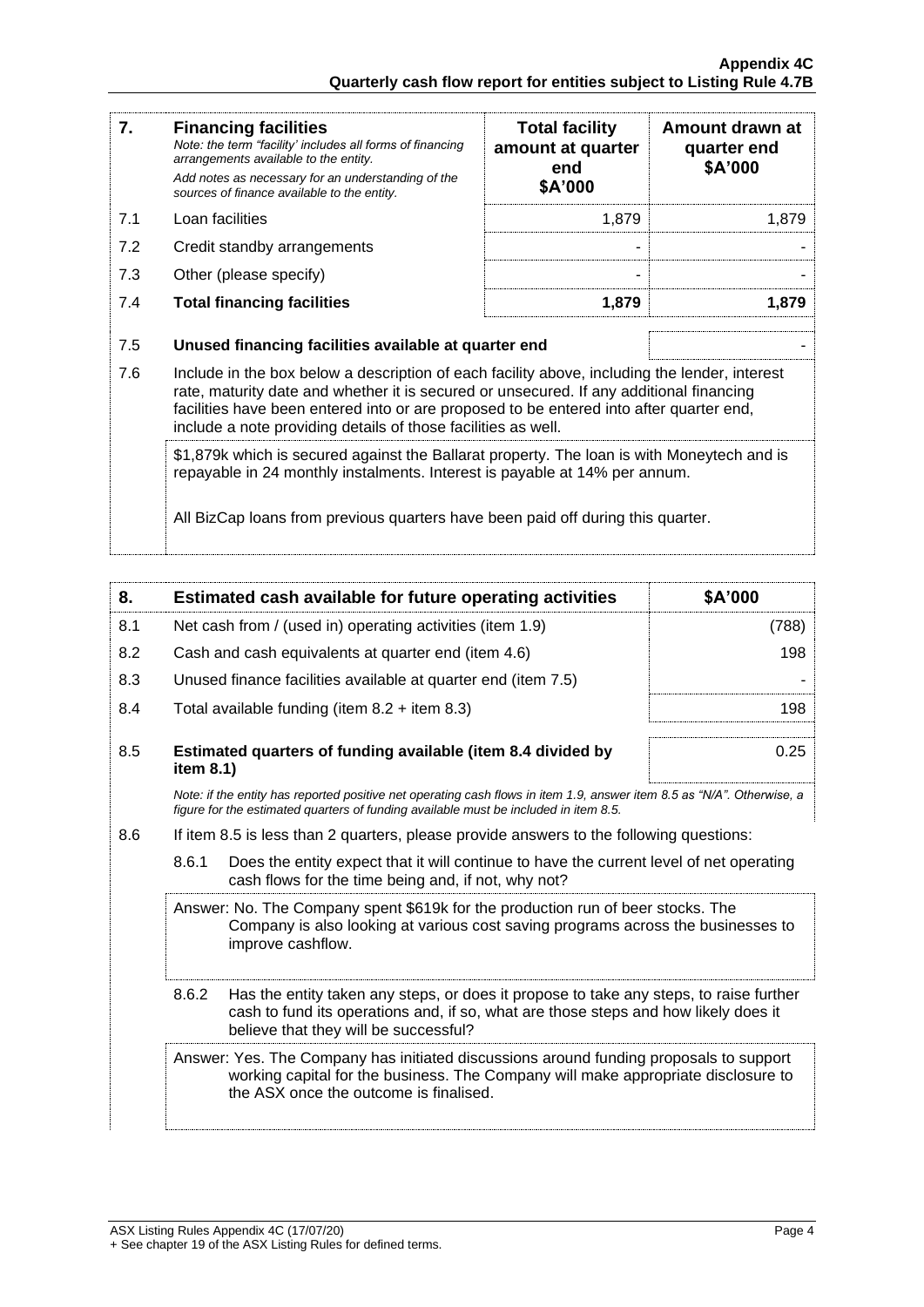| 7.  | <b>Financing facilities</b><br>Note: the term "facility' includes all forms of financing<br>arrangements available to the entity.<br>Add notes as necessary for an understanding of the<br>sources of finance available to the entity.                                                                                                               | <b>Total facility</b><br>amount at quarter<br>end<br>\$A'000 | Amount drawn at<br>quarter end<br>\$A'000 |
|-----|------------------------------------------------------------------------------------------------------------------------------------------------------------------------------------------------------------------------------------------------------------------------------------------------------------------------------------------------------|--------------------------------------------------------------|-------------------------------------------|
| 7.1 | Loan facilities                                                                                                                                                                                                                                                                                                                                      | 1,879                                                        | 1,879                                     |
| 7.2 | Credit standby arrangements                                                                                                                                                                                                                                                                                                                          |                                                              |                                           |
| 7.3 | Other (please specify)                                                                                                                                                                                                                                                                                                                               |                                                              |                                           |
| 7.4 | <b>Total financing facilities</b>                                                                                                                                                                                                                                                                                                                    | 1,879                                                        | 1,879                                     |
| 7.5 | Unused financing facilities available at quarter end                                                                                                                                                                                                                                                                                                 |                                                              |                                           |
| 7.6 | Include in the box below a description of each facility above, including the lender, interest<br>rate, maturity date and whether it is secured or unsecured. If any additional financing<br>facilities have been entered into or are proposed to be entered into after quarter end,<br>include a note providing details of those facilities as well. |                                                              |                                           |
|     | \$1,879k which is secured against the Ballarat property. The loan is with Moneytech and is<br>repayable in 24 monthly instalments. Interest is payable at 14% per annum.                                                                                                                                                                             |                                                              |                                           |
|     | All BizCap loans from previous quarters have been paid off during this quarter.                                                                                                                                                                                                                                                                      |                                                              |                                           |

| 8.                                                                                                                                                                                                                              | Estimated cash available for future operating activities                                                                                                                                                              | \$A'000 |  |
|---------------------------------------------------------------------------------------------------------------------------------------------------------------------------------------------------------------------------------|-----------------------------------------------------------------------------------------------------------------------------------------------------------------------------------------------------------------------|---------|--|
| 8.1                                                                                                                                                                                                                             | Net cash from / (used in) operating activities (item 1.9)                                                                                                                                                             | (788)   |  |
| 8.2                                                                                                                                                                                                                             | Cash and cash equivalents at quarter end (item 4.6)                                                                                                                                                                   | 198     |  |
| 8.3                                                                                                                                                                                                                             | Unused finance facilities available at quarter end (item 7.5)                                                                                                                                                         |         |  |
| 8.4                                                                                                                                                                                                                             | Total available funding (item $8.2 +$ item $8.3$ )                                                                                                                                                                    | 198     |  |
| 8.5                                                                                                                                                                                                                             | Estimated quarters of funding available (item 8.4 divided by<br>item 8.1)                                                                                                                                             | 0.25    |  |
|                                                                                                                                                                                                                                 | Note: if the entity has reported positive net operating cash flows in item 1.9, answer item 8.5 as "N/A". Otherwise, a<br>figure for the estimated quarters of funding available must be included in item 8.5.        |         |  |
| 8.6                                                                                                                                                                                                                             | If item 8.5 is less than 2 quarters, please provide answers to the following questions:                                                                                                                               |         |  |
|                                                                                                                                                                                                                                 | 8.6.1<br>Does the entity expect that it will continue to have the current level of net operating<br>cash flows for the time being and, if not, why not?                                                               |         |  |
| Answer: No. The Company spent \$619k for the production run of beer stocks. The<br>Company is also looking at various cost saving programs across the businesses to<br>improve cashflow.                                        |                                                                                                                                                                                                                       |         |  |
| 8.6.2<br>Has the entity taken any steps, or does it propose to take any steps, to raise further<br>cash to fund its operations and, if so, what are those steps and how likely does it<br>believe that they will be successful? |                                                                                                                                                                                                                       |         |  |
|                                                                                                                                                                                                                                 | Answer: Yes. The Company has initiated discussions around funding proposals to support<br>working capital for the business. The Company will make appropriate disclosure to<br>the ASX once the outcome is finalised. |         |  |